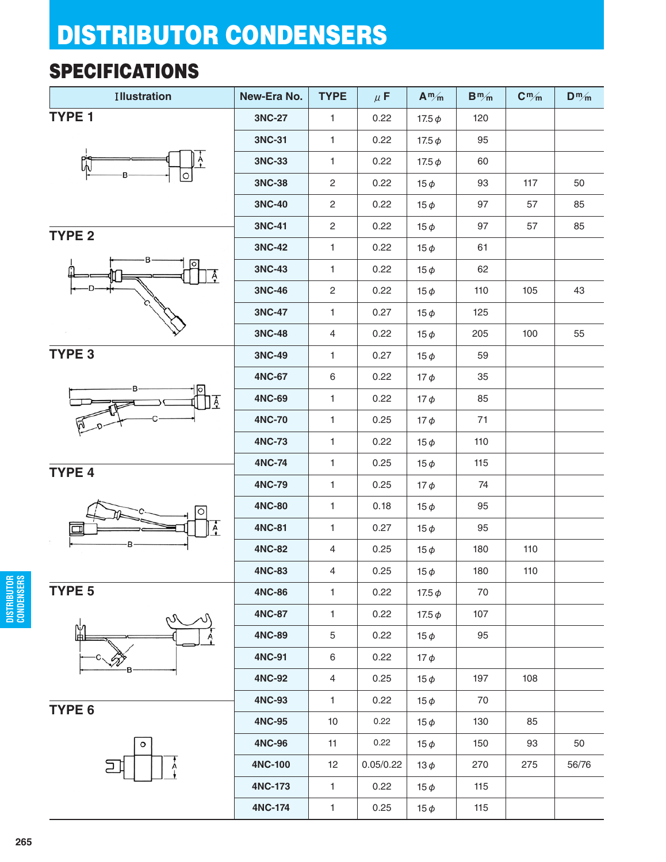#### **SPECIFICATIONS**

| <b>Illustration</b> | New-Era No.   | <b>TYPE</b>             | $\mu$ F   | $A^m/m$     | $B^{m}/m$ | $C^m/m$ | $D^m/m$ |
|---------------------|---------------|-------------------------|-----------|-------------|-----------|---------|---------|
| TYPE <sub>1</sub>   | 3NC-27        | $\mathbf{1}$            | 0.22      | 17.5 $\phi$ | 120       |         |         |
|                     | 3NC-31        | $\mathbf{1}$            | 0.22      | 17.5 $\phi$ | 95        |         |         |
| ពិ                  | 3NC-33        | $\mathbf{1}$            | 0.22      | 17.5 $\phi$ | 60        |         |         |
|                     | 3NC-38        | $\overline{c}$          | 0.22      | $15\phi$    | 93        | 117     | 50      |
|                     | 3NC-40        | $\overline{c}$          | 0.22      | $15\phi$    | 97        | 57      | 85      |
| TYPE <sub>2</sub>   | 3NC-41        | $\overline{\mathbf{c}}$ | 0.22      | $15\phi$    | 97        | 57      | 85      |
|                     | 3NC-42        | 1                       | 0.22      | $15\phi$    | 61        |         |         |
| Ã                   | 3NC-43        | $\mathbf{1}$            | 0.22      | $15\phi$    | 62        |         |         |
|                     | <b>3NC-46</b> | $\overline{\mathbf{c}}$ | 0.22      | $15\phi$    | 110       | 105     | 43      |
|                     | 3NC-47        | $\mathbf{1}$            | 0.27      | $15\phi$    | 125       |         |         |
|                     | <b>3NC-48</b> | $\overline{4}$          | 0.22      | $15\phi$    | 205       | 100     | 55      |
| TYPE <sub>3</sub>   | 3NC-49        | 1                       | 0.27      | $15\phi$    | 59        |         |         |
|                     | <b>4NC-67</b> | 6                       | 0.22      | $17\phi$    | 35        |         |         |
| lо<br>Ā             | <b>4NC-69</b> | $\mathbf{1}$            | 0.22      | $17\phi$    | 85        |         |         |
|                     | <b>4NC-70</b> | $\mathbf{1}$            | 0.25      | $17\phi$    | 71        |         |         |
|                     | <b>4NC-73</b> | 1                       | 0.22      | $15\phi$    | 110       |         |         |
| TYPE 4              | <b>4NC-74</b> | $\mathbf{1}$            | 0.25      | $15\phi$    | 115       |         |         |
|                     | <b>4NC-79</b> | $\mathbf{1}$            | 0.25      | $17\phi$    | 74        |         |         |
|                     | <b>4NC-80</b> | $\mathbf{1}$            | 0.18      | $15\phi$    | 95        |         |         |
| $\dot{A}$           | <b>4NC-81</b> | $\mathbf{1}$            | 0.27      | $15\phi$    | 95        |         |         |
|                     | <b>4NC-82</b> | $\overline{4}$          | 0.25      | $15\phi$    | 180       | 110     |         |
|                     | <b>4NC-83</b> | $\overline{4}$          | 0.25      | $15\phi$    | 180       | 110     |         |
| TYPE <sub>5</sub>   | <b>4NC-86</b> | $\mathbf{1}$            | 0.22      | 17.5 $\phi$ | 70        |         |         |
| M                   | <b>4NC-87</b> | $\mathbf{1}$            | 0.22      | 17.5 $\phi$ | 107       |         |         |
| Ě                   | <b>4NC-89</b> | 5                       | 0.22      | $15\phi$    | 95        |         |         |
|                     | 4NC-91        | 6                       | 0.22      | $17\phi$    |           |         |         |
|                     | <b>4NC-92</b> | $\overline{4}$          | 0.25      | $15\phi$    | 197       | 108     |         |
| TYPE <sub>6</sub>   | <b>4NC-93</b> | $\mathbf{1}$            | 0.22      | $15\phi$    | 70        |         |         |
|                     | <b>4NC-95</b> | $10$                    | 0.22      | $15\phi$    | 130       | 85      |         |
| $\circ$             | <b>4NC-96</b> | 11                      | 0.22      | $15\phi$    | 150       | 93      | 50      |
|                     | 4NC-100       | 12                      | 0.05/0.22 | $13\phi$    | 270       | 275     | 56/76   |
|                     | 4NC-173       | $\mathbf{1}$            | 0.22      | $15\phi$    | 115       |         |         |
|                     | 4NC-174       | $\mathbf{1}$            | 0.25      | $15\phi$    | 115       |         |         |

**DISTRIBUTOR CONDENSERS**

**DISTRIBUTOR**<br>CONDENSERS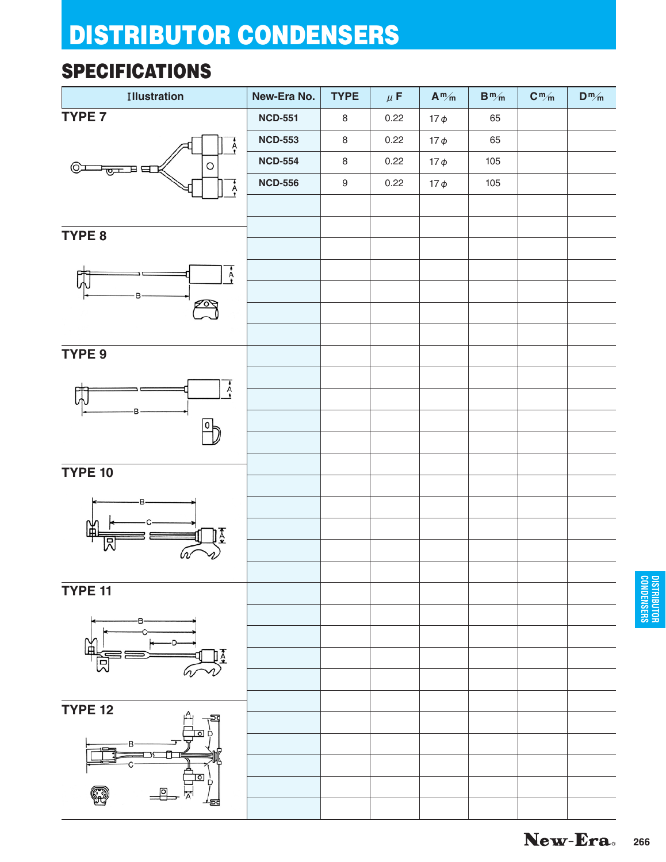#### **SPECIFICATIONS**

| <b>Illustration</b> | New-Era No.    | <b>TYPE</b>      | $\mu$ F | $A^m/m$  | $\mathbf{B}^{\,m}\!/\!{}_{\mathsf{m}}$ | $\mathbf{C}^{\, \mathsf{m}}\!/\!_{\mathsf{m}}$ | $D^m/m$ |
|---------------------|----------------|------------------|---------|----------|----------------------------------------|------------------------------------------------|---------|
| TYPE 7              | <b>NCD-551</b> | $\,8\,$          | 0.22    | $17\phi$ | 65                                     |                                                |         |
| $\overline{A}$      | <b>NCD-553</b> | $\,8\,$          | 0.22    | $17\phi$ | 65                                     |                                                |         |
| O<br>(⊙)<br>ਾ@ਸਥ    | <b>NCD-554</b> | $\,8\,$          | 0.22    | $17\phi$ | 105                                    |                                                |         |
| $\overline{A}$      | <b>NCD-556</b> | $\boldsymbol{9}$ | 0.22    | $17\phi$ | 105                                    |                                                |         |
|                     |                |                  |         |          |                                        |                                                |         |
| TYPE 8              |                |                  |         |          |                                        |                                                |         |
|                     |                |                  |         |          |                                        |                                                |         |
| $\overline{A}$      |                |                  |         |          |                                        |                                                |         |
| B                   |                |                  |         |          |                                        |                                                |         |
| ✍                   |                |                  |         |          |                                        |                                                |         |
|                     |                |                  |         |          |                                        |                                                |         |
| TYPE 9              |                |                  |         |          |                                        |                                                |         |
| $\overline{A}$      |                |                  |         |          |                                        |                                                |         |
|                     |                |                  |         |          |                                        |                                                |         |
|                     |                |                  |         |          |                                        |                                                |         |
|                     |                |                  |         |          |                                        |                                                |         |
| <b>TYPE 10</b>      |                |                  |         |          |                                        |                                                |         |
|                     |                |                  |         |          |                                        |                                                |         |
|                     |                |                  |         |          |                                        |                                                |         |
|                     |                |                  |         |          |                                        |                                                |         |
|                     |                |                  |         |          |                                        |                                                |         |
|                     |                |                  |         |          |                                        |                                                |         |
| TYPE 11             |                |                  |         |          |                                        |                                                |         |
|                     |                |                  |         |          |                                        |                                                |         |
|                     |                |                  |         |          |                                        |                                                |         |
|                     |                |                  |         |          |                                        |                                                |         |
|                     |                |                  |         |          |                                        |                                                |         |
| <b>TYPE 12</b>      |                |                  |         |          |                                        |                                                |         |
|                     |                |                  |         |          |                                        |                                                |         |
|                     |                |                  |         |          |                                        |                                                |         |
|                     |                |                  |         |          |                                        |                                                |         |
|                     |                |                  |         |          |                                        |                                                |         |
|                     |                |                  |         |          |                                        |                                                |         |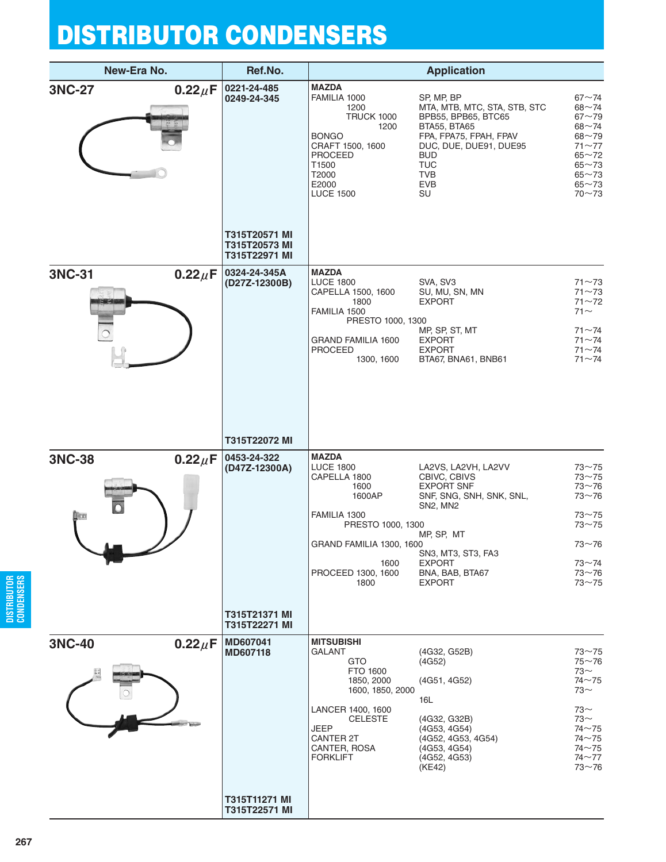|               | New-Era No.                           | Ref.No.                                                                          |                                                                                                                                                                                                      | <b>Application</b>                                                                                                                                                                                                             |                                                                                                                                                |
|---------------|---------------------------------------|----------------------------------------------------------------------------------|------------------------------------------------------------------------------------------------------------------------------------------------------------------------------------------------------|--------------------------------------------------------------------------------------------------------------------------------------------------------------------------------------------------------------------------------|------------------------------------------------------------------------------------------------------------------------------------------------|
| <b>3NC-27</b> | $0.22 \mu F$                          | 0221-24-485<br>0249-24-345                                                       | <b>MAZDA</b><br>FAMILIA 1000<br>1200<br><b>TRUCK 1000</b><br>1200<br><b>BONGO</b><br>CRAFT 1500, 1600<br><b>PROCEED</b><br>T1500<br>T2000<br>E2000<br><b>LUCE 1500</b>                               | SP, MP, BP<br>MTA, MTB, MTC, STA, STB, STC<br>BPB55, BPB65, BTC65<br>BTA55, BTA65<br>FPA, FPA75, FPAH, FPAV<br>DUC, DUE, DUE91, DUE95<br><b>BUD</b><br><b>TUC</b><br>TVB<br><b>EVB</b><br>SU                                   | $67 - 74$<br>$68 - 74$<br>$67 - 79$<br>$68 - 74$<br>$68 - 79$<br>$71 - 77$<br>$65 - 72$<br>$65 - 73$<br>$65 - 73$<br>$65 - 73$<br>$70 - 73$    |
| 3NC-31        | $0.22 \mu F$                          | T315T20571 MI<br>T315T20573 MI<br>T315T22971 MI<br>0324-24-345A<br>(D27Z-12300B) | <b>MAZDA</b><br><b>LUCE 1800</b><br>CAPELLA 1500, 1600                                                                                                                                               | SVA, SV3<br>SU, MU, SN, MN                                                                                                                                                                                                     | $71 - 73$<br>$71 - 73$                                                                                                                         |
|               |                                       |                                                                                  | 1800<br>FAMILIA 1500<br>PRESTO 1000, 1300<br><b>GRAND FAMILIA 1600</b><br>PROCEED<br>1300, 1600                                                                                                      | <b>EXPORT</b><br>MP, SP, ST, MT<br><b>EXPORT</b><br><b>EXPORT</b><br>BTA67, BNA61, BNB61                                                                                                                                       | $71 - 72$<br>$71$ $\sim$<br>$71 - 74$<br>$71 - 74$<br>$71 - 74$<br>$71 - 74$                                                                   |
|               |                                       | T315T22072 MI                                                                    |                                                                                                                                                                                                      |                                                                                                                                                                                                                                |                                                                                                                                                |
| <b>3NC-38</b> | $0.22 \mu F$<br>$\blacktriangleright$ | 0453-24-322<br>(D47Z-12300A)                                                     | <b>MAZDA</b><br><b>LUCE 1800</b><br>CAPELLA 1800<br>1600<br>1600AP<br>FAMILIA 1300<br>PRESTO 1000, 1300<br>GRAND FAMILIA 1300, 1600<br>1600<br>PROCEED 1300, 1600<br>1800                            | LA2VS, LA2VH, LA2VV<br>CBIVC, CBIVS<br><b>EXPORT SNF</b><br>SNF, SNG, SNH, SNK, SNL,<br>SN <sub>2</sub> , M <sub>N</sub> <sub>2</sub><br>MP, SP, MT<br>SN3, MT3, ST3, FA3<br><b>EXPORT</b><br>BNA, BAB, BTA67<br><b>EXPORT</b> | $73 - 75$<br>$73 - 75$<br>$73 - 76$<br>$73 - 76$<br>$73 - 75$<br>$73 - 75$<br>$73 - 76$<br>$73 - 74$<br>$73 - 76$<br>$73 - 75$                 |
|               |                                       | T315T21371 MI<br>T315T22271 MI                                                   |                                                                                                                                                                                                      |                                                                                                                                                                                                                                |                                                                                                                                                |
| <b>3NC-40</b> | $0.22 \mu F$                          | MD607041<br>MD607118                                                             | <b>MITSUBISHI</b><br><b>GALANT</b><br><b>GTO</b><br>FTO 1600<br>1850, 2000<br>1600, 1850, 2000<br>LANCER 1400, 1600<br><b>CELESTE</b><br>JEEP<br><b>CANTER 2T</b><br>CANTER, ROSA<br><b>FORKLIFT</b> | (4G32, G52B)<br>(4G52)<br>(4G51, 4G52)<br>16L<br>(4G32, G32B)<br>(4G53, 4G54)<br>(4G52, 4G53, 4G54)<br>(4G53, 4G54)<br>(4G52, 4G53)<br>(KE42)                                                                                  | $73 - 75$<br>$75 - 76$<br>$73$ ~<br>$74 - 75$<br>$73-$<br>$73~\sim$<br>$73$ ~<br>$74 - 75$<br>$74 - 75$<br>$74 - 75$<br>$74 - 77$<br>$73 - 76$ |
|               |                                       | T315T11271 MI<br>T315T22571 MI                                                   |                                                                                                                                                                                                      |                                                                                                                                                                                                                                |                                                                                                                                                |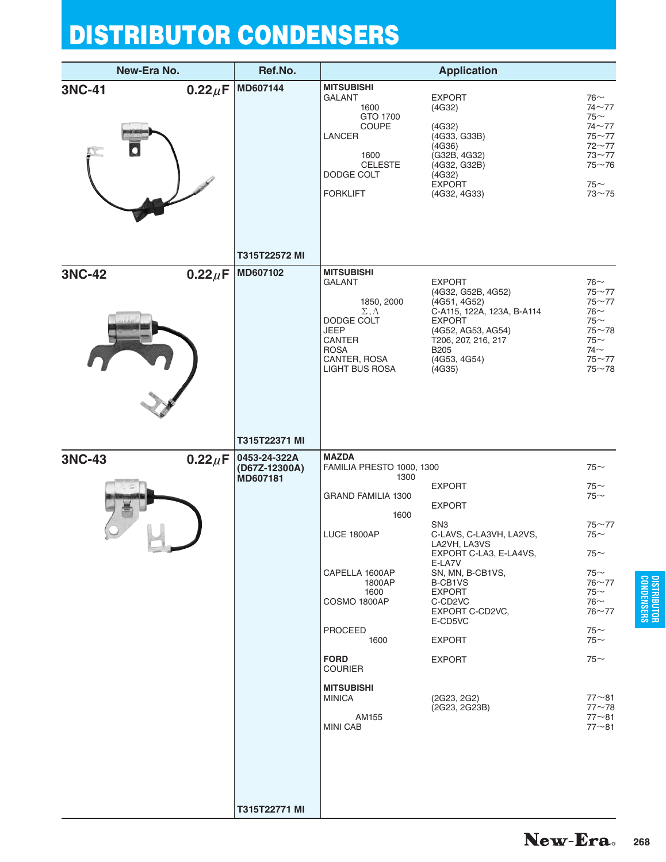| New-Era No.                                        |              | Ref.No.                                   |                                                                                                                                                                                                                                                                                 | <b>Application</b>                                                                                                                                                                                                                                                                                       |                                                                                                                                                                                                       |
|----------------------------------------------------|--------------|-------------------------------------------|---------------------------------------------------------------------------------------------------------------------------------------------------------------------------------------------------------------------------------------------------------------------------------|----------------------------------------------------------------------------------------------------------------------------------------------------------------------------------------------------------------------------------------------------------------------------------------------------------|-------------------------------------------------------------------------------------------------------------------------------------------------------------------------------------------------------|
| 3NC-41                                             | $0.22 \mu F$ | MD607144                                  | <b>MITSUBISHI</b><br>GALANT<br>1600<br>GTO 1700<br><b>COUPE</b><br>LANCER<br>1600<br><b>CELESTE</b><br>DODGE COLT<br><b>FORKLIFT</b>                                                                                                                                            | <b>EXPORT</b><br>(4G32)<br>(4G32)<br>(4G33, G33B)<br>(4G36)<br>(G32B, 4G32)<br>(4G32, G32B)<br>(4G32)<br><b>EXPORT</b><br>(4G32, 4G33)                                                                                                                                                                   | $76-$<br>$74 - 77$<br>75 $\sim$<br>$74 - 77$<br>$75 - 77$<br>$72 - 77$<br>$73 - 77$<br>$75 - 76$<br>$75$ ~<br>$73 - 75$                                                                               |
|                                                    |              | T315T22572 MI                             |                                                                                                                                                                                                                                                                                 |                                                                                                                                                                                                                                                                                                          |                                                                                                                                                                                                       |
| 3NC-42                                             | $0.22 \mu F$ | MD607102                                  | <b>MITSUBISHI</b><br><b>GALANT</b><br>1850, 2000<br>$\Sigma, \Lambda$<br>DODGE COLT<br>JEEP<br>CANTER<br><b>ROSA</b><br>CANTER, ROSA<br><b>LIGHT BUS ROSA</b>                                                                                                                   | <b>EXPORT</b><br>(4G32, G52B, 4G52)<br>(4G51, 4G52)<br>C-A115, 122A, 123A, B-A114<br><b>EXPORT</b><br>(4G52, AG53, AG54)<br>T206, 207, 216, 217<br><b>B205</b><br>(4G53, 4G54)<br>(4G35)                                                                                                                 | 76 $\sim$<br>$75 - 77$<br>$75 - 77$<br>$76$ ~<br>$75$ ~<br>$75 - 78$<br>$75$ ~<br>$74$ $\sim$<br>$75 - 77$<br>$75 - 78$                                                                               |
|                                                    |              | T315T22371 MI                             |                                                                                                                                                                                                                                                                                 |                                                                                                                                                                                                                                                                                                          |                                                                                                                                                                                                       |
| <b>3NC-43</b><br><b>Contract Contract Contract</b> | $0.22 \mu F$ | 0453-24-322A<br>(D67Z-12300A)<br>MD607181 | <b>MAZDA</b><br>FAMILIA PRESTO 1000, 1300<br>1300<br><b>GRAND FAMILIA 1300</b><br>1600<br>LUCE 1800AP<br>CAPELLA 1600AP<br>1800AP<br>1600<br>COSMO 1800AP<br>PROCEED<br>1600<br><b>FORD</b><br><b>COURIER</b><br><b>MITSUBISHI</b><br><b>MINICA</b><br>AM155<br><b>MINI CAB</b> | <b>EXPORT</b><br><b>EXPORT</b><br>SN <sub>3</sub><br>C-LAVS, C-LA3VH, LA2VS,<br>LA2VH, LA3VS<br>EXPORT C-LA3, E-LA4VS,<br>E-LA7V<br>SN, MN, B-CB1VS,<br>B-CB1VS<br><b>EXPORT</b><br>C-CD <sub>2</sub> VC<br>EXPORT C-CD2VC,<br>E-CD5VC<br><b>EXPORT</b><br><b>EXPORT</b><br>(2G23, 2G2)<br>(2G23, 2G23B) | $75$ ~<br>$75$ ~<br>$75$ ~<br>$75 - 77$<br>$75$ ~<br>$75$ ~<br>$75$ ~<br>$76 - 77$<br>75∼<br>76 $\sim$<br>$76 - 77$<br>$75$ ~<br>$75$ ~<br>$75$ ~<br>$77 - 81$<br>$77 - 78$<br>$77 - 81$<br>$77 - 81$ |
|                                                    |              | T315T22771 MI                             |                                                                                                                                                                                                                                                                                 |                                                                                                                                                                                                                                                                                                          |                                                                                                                                                                                                       |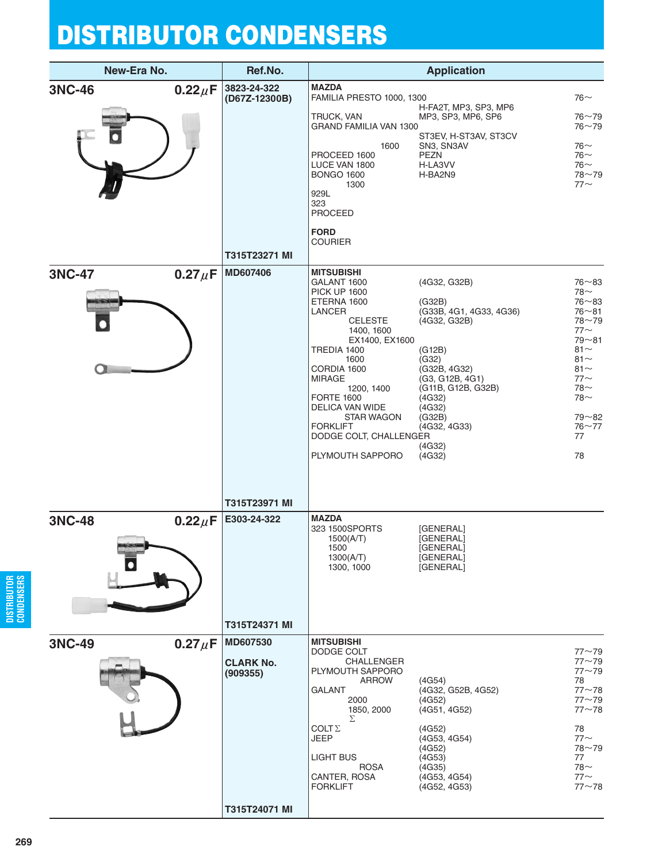| New-Era No.                    |                              | Ref.No.                                                   |                                                                                                                                                                                                                                                                                                                                                      | <b>Application</b>                                                                                                                                                                           |                                                                                                                                                              |
|--------------------------------|------------------------------|-----------------------------------------------------------|------------------------------------------------------------------------------------------------------------------------------------------------------------------------------------------------------------------------------------------------------------------------------------------------------------------------------------------------------|----------------------------------------------------------------------------------------------------------------------------------------------------------------------------------------------|--------------------------------------------------------------------------------------------------------------------------------------------------------------|
| <b>3NC-46</b><br><b>3NC-47</b> | $0.22 \mu F$<br>$0.27 \mu F$ | 3823-24-322<br>(D67Z-12300B)<br>T315T23271 MI<br>MD607406 | <b>MAZDA</b><br>FAMILIA PRESTO 1000, 1300<br>TRUCK, VAN<br><b>GRAND FAMILIA VAN 1300</b><br>1600<br>PROCEED 1600<br>LUCE VAN 1800<br><b>BONGO 1600</b><br>1300<br>929L<br>323<br><b>PROCEED</b><br><b>FORD</b><br><b>COURIER</b><br><b>MITSUBISHI</b><br>GALANT 1600<br><b>PICK UP 1600</b><br>ETERNA 1600<br>LANCER<br><b>CELESTE</b><br>1400, 1600 | H-FA2T, MP3, SP3, MP6<br>MP3, SP3, MP6, SP6<br>ST3EV, H-ST3AV, ST3CV<br>SN3, SN3AV<br><b>PEZN</b><br>H-LA3VV<br>H-BA2N9<br>(4G32, G32B)<br>(G32B)<br>(G33B, 4G1, 4G33, 4G36)<br>(4G32, G32B) | $76-$<br>$76 - 79$<br>$76 - 79$<br>$76-$<br>$76-$<br>$76$ ~<br>$78 - 79$<br>$77$ ~<br>$76 - 83$<br>78∼<br>$76 - 83$<br>$76 - 81$<br>$78 - 79$<br>$77$ $\sim$ |
|                                |                              | T315T23971 MI                                             | EX1400, EX1600<br>TREDIA 1400<br>1600<br>CORDIA 1600<br><b>MIRAGE</b><br>1200, 1400<br><b>FORTE 1600</b><br>DELICA VAN WIDE<br><b>STAR WAGON</b><br><b>FORKLIFT</b><br>DODGE COLT, CHALLENGER<br>PLYMOUTH SAPPORO                                                                                                                                    | (G12B)<br>(G32)<br>(G32B, 4G32)<br>(G3, G12B, 4G1)<br>(G11B, G12B, G32B)<br>(4G32)<br>(4G32)<br>(G32B)<br>(4G32, 4G33)<br>(4G32)<br>(4G32)                                                   | $79 - 81$<br>$81 -$<br>$81 -$<br>$81 -$<br>$77$ ~<br>$78-$<br>$78-$<br>$79 - 82$<br>$76 - 77$<br>77<br>78                                                    |
| <b>3NC-48</b>                  | $0.22 \mu F$                 | E303-24-322<br>T315T24371 MI                              | <b>MAZDA</b><br>323 1500SPORTS<br>1500(A/T)<br>1500<br>1300(A/T)<br>1300, 1000                                                                                                                                                                                                                                                                       | [GENERAL]<br>[GENERAL]<br>[GENERAL]<br>[GENERAL]<br>[GENERAL]                                                                                                                                |                                                                                                                                                              |
| <b>3NC-49</b>                  | $0.27 \mu F$                 | MD607530<br><b>CLARK No.</b><br>(909355)<br>T315T24071 MI | <b>MITSUBISHI</b><br>DODGE COLT<br>CHALLENGER<br>PLYMOUTH SAPPORO<br><b>ARROW</b><br><b>GALANT</b><br>2000<br>1850, 2000<br>Σ<br>COLT $\Sigma$<br>JEEP<br><b>LIGHT BUS</b><br><b>ROSA</b><br>CANTER, ROSA<br><b>FORKLIFT</b>                                                                                                                         | (4G54)<br>(4G32, G52B, 4G52)<br>(4G52)<br>(4G51, 4G52)<br>(4G52)<br>(4G53, 4G54)<br>(4G52)<br>(4G53)<br>(4G35)<br>(4G53, 4G54)<br>(4G52, 4G53)                                               | $77 - 79$<br>$77 - 79$<br>$77 - 79$<br>78<br>$77 - 78$<br>$77 - 79$<br>$77 - 78$<br>78<br>$77$ ~<br>$78 - 79$<br>77<br>$78-$<br>$77$ $\sim$<br>$77 - 78$     |
|                                |                              |                                                           |                                                                                                                                                                                                                                                                                                                                                      |                                                                                                                                                                                              |                                                                                                                                                              |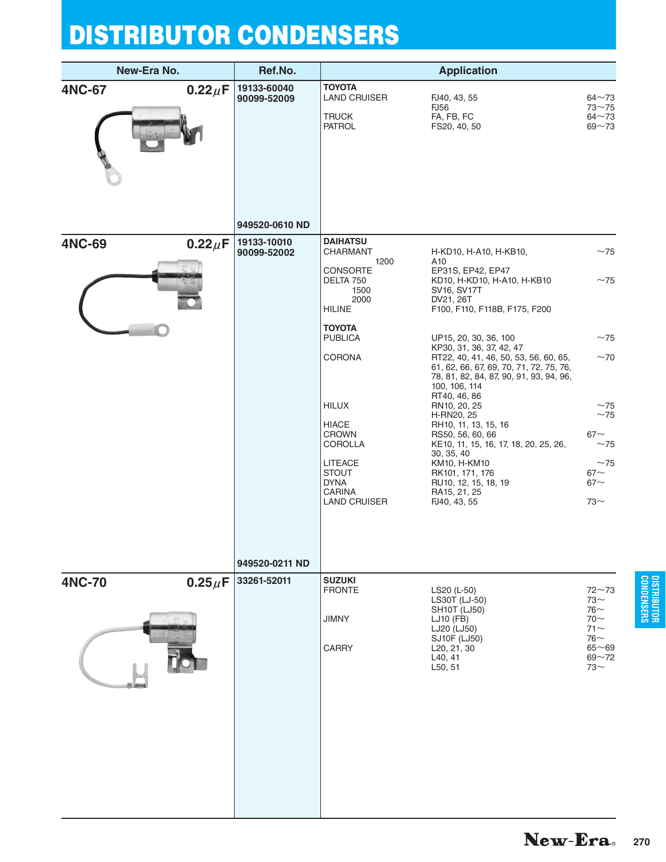|               | New-Era No.  | Ref.No.                                      |                                                                                                                                                                                                         | <b>Application</b>                                                                                                                                                                                                                                                                                                                                                                                                                                                             |                                                                                            |
|---------------|--------------|----------------------------------------------|---------------------------------------------------------------------------------------------------------------------------------------------------------------------------------------------------------|--------------------------------------------------------------------------------------------------------------------------------------------------------------------------------------------------------------------------------------------------------------------------------------------------------------------------------------------------------------------------------------------------------------------------------------------------------------------------------|--------------------------------------------------------------------------------------------|
| <b>4NC-67</b> | $0.22 \mu F$ | 19133-60040<br>90099-52009                   | <b>TOYOTA</b><br><b>LAND CRUISER</b><br><b>TRUCK</b><br><b>PATROL</b>                                                                                                                                   | FJ40, 43, 55<br><b>FJ56</b><br>FA, FB, FC<br>FS20, 40, 50                                                                                                                                                                                                                                                                                                                                                                                                                      | $64 - 73$<br>$73 - 75$<br>$64 - 73$<br>$69 - 73$                                           |
| <b>4NC-69</b> | $0.22 \mu F$ | 949520-0610 ND<br>19133-10010<br>90099-52002 | <b>DAIHATSU</b><br>CHARMANT<br>1200<br><b>CONSORTE</b><br>DELTA 750<br>1500<br>2000                                                                                                                     | H-KD10, H-A10, H-KB10,<br>A10<br>EP31S, EP42, EP47<br>KD10, H-KD10, H-A10, H-KB10<br>SV16, SV17T<br>DV21, 26T                                                                                                                                                                                                                                                                                                                                                                  | ~1<br>~1                                                                                   |
|               |              |                                              | <b>HILINE</b><br>TOYOTA<br><b>PUBLICA</b><br>CORONA<br><b>HILUX</b><br>HIACE<br><b>CROWN</b><br><b>COROLLA</b><br><b>LITEACE</b><br><b>STOUT</b><br><b>DYNA</b><br><b>CARINA</b><br><b>LAND CRUISER</b> | F100, F110, F118B, F175, F200<br>UP15, 20, 30, 36, 100<br>KP30, 31, 36, 37, 42, 47<br>RT22, 40, 41, 46, 50, 53, 56, 60, 65,<br>61, 62, 66, 67, 69, 70, 71, 72, 75, 76,<br>78, 81, 82, 84, 87, 90, 91, 93, 94, 96,<br>100, 106, 114<br>RT40, 46, 86<br>RN10, 20, 25<br>H-RN20, 25<br>RH10, 11, 13, 15, 16<br>RS50, 56, 60, 66<br>KE10, 11, 15, 16, 17, 18, 20, 25, 26,<br>30, 35, 40<br>KM10, H-KM10<br>RK101, 171, 176<br>RU10, 12, 15, 18, 19<br>RA15, 21, 25<br>FJ40, 43, 55 | ~1<br>~1<br>~1<br>~1<br>$67\sim$<br>~1<br>~1<br>$67\sim$<br>$67\sim$<br>$73-$              |
| <b>4NC-70</b> | $0.25 \mu F$ | 949520-0211 ND<br>33261-52011                | <b>SUZUKI</b><br><b>FRONTE</b><br>JIMNY<br><b>CARRY</b>                                                                                                                                                 | LS20 (L-50)<br>LS30T (LJ-50)<br><b>SH10T (LJ50)</b><br>LJ10 (FB)<br>LJ20 (LJ50)<br>SJ10F (LJ50)<br>L <sub>20</sub> , 21, 30<br>L40, 41<br>L50, 51                                                                                                                                                                                                                                                                                                                              | $72 - 73$<br>$73-$<br>$76-$<br>$70-$<br>$71$ ~<br>$76-$<br>$65 - 69$<br>$69 - 72$<br>$73-$ |
|               |              |                                              |                                                                                                                                                                                                         |                                                                                                                                                                                                                                                                                                                                                                                                                                                                                |                                                                                            |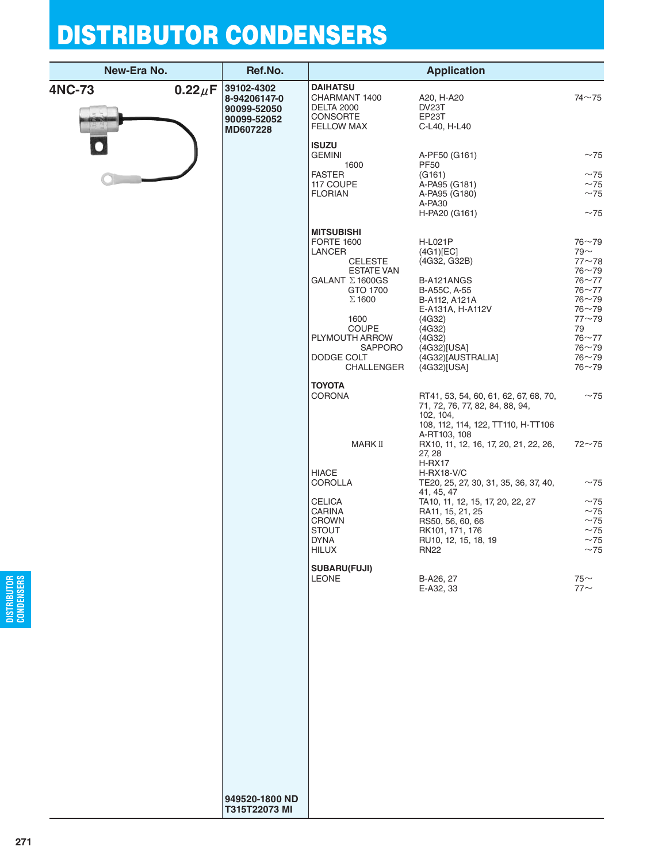| New-Era No.   |              | Ref.No.                                                              |                                                                                                                                                                                                                                       | <b>Application</b>                                                                                                                                                                                        |                                                                                                                                                                                |
|---------------|--------------|----------------------------------------------------------------------|---------------------------------------------------------------------------------------------------------------------------------------------------------------------------------------------------------------------------------------|-----------------------------------------------------------------------------------------------------------------------------------------------------------------------------------------------------------|--------------------------------------------------------------------------------------------------------------------------------------------------------------------------------|
| <b>4NC-73</b> | $0.22 \mu F$ | 39102-4302<br>8-94206147-0<br>90099-52050<br>90099-52052<br>MD607228 | <b>DAIHATSU</b><br>CHARMANT 1400<br><b>DELTA 2000</b><br><b>CONSORTE</b><br><b>FELLOW MAX</b>                                                                                                                                         | A20, H-A20<br>DV23T<br>EP23T<br>C-L40, H-L40                                                                                                                                                              | $74 - 75$                                                                                                                                                                      |
|               |              |                                                                      | <b>ISUZU</b><br><b>GEMINI</b><br>1600                                                                                                                                                                                                 | A-PF50 (G161)<br><b>PF50</b>                                                                                                                                                                              | ~1                                                                                                                                                                             |
|               |              |                                                                      | <b>FASTER</b><br>117 COUPE<br><b>FLORIAN</b>                                                                                                                                                                                          | (G161)<br>A-PA95 (G181)<br>A-PA95 (G180)<br>A-PA30                                                                                                                                                        | ~1<br>~1<br>~1                                                                                                                                                                 |
|               |              |                                                                      | <b>MITSUBISHI</b><br><b>FORTE 1600</b><br><b>LANCER</b><br><b>CELESTE</b><br><b>ESTATE VAN</b><br>GALANT ∑1600GS<br>GTO 1700<br>$\Sigma$ 1600<br>1600<br><b>COUPE</b><br>PLYMOUTH ARROW<br><b>SAPPORO</b><br>DODGE COLT<br>CHALLENGER | H-PA20 (G161)<br>H-L021P<br>(4G1)[EC]<br>(4G32, G32B)<br>B-A121ANGS<br>B-A55C, A-55<br>B-A112, A121A<br>E-A131A, H-A112V<br>(4G32)<br>(4G32)<br>(4G32)<br>(4G32)[USA]<br>(4G32)[AUSTRALIA]<br>(4G32)[USA] | ~1<br>$76 - 79$<br>$79 -$<br>$77 - 78$<br>$76 - 79$<br>$76 - 77$<br>$76 - 77$<br>$76 - 79$<br>$76 - 79$<br>$77 - 79$<br>79<br>$76 - 77$<br>$76 - 79$<br>$76 - 79$<br>$76 - 79$ |
|               |              |                                                                      | <b>TOYOTA</b><br><b>CORONA</b>                                                                                                                                                                                                        | RT41, 53, 54, 60, 61, 62, 67, 68, 70,<br>71, 72, 76, 77, 82, 84, 88, 94,<br>102, 104,<br>108, 112, 114, 122, TT110, H-TT106                                                                               | ~1                                                                                                                                                                             |
|               |              |                                                                      | MARK II                                                                                                                                                                                                                               | A-RT103, 108<br>RX10, 11, 12, 16, 17, 20, 21, 22, 26,<br>27, 28<br>$H-RX17$                                                                                                                               | $72 - 75$                                                                                                                                                                      |
|               |              |                                                                      | <b>HIACE</b><br>COROLLA                                                                                                                                                                                                               | <b>H-RX18-V/C</b><br>TE20, 25, 27, 30, 31, 35, 36, 37, 40,<br>41, 45, 47                                                                                                                                  | ~1                                                                                                                                                                             |
|               |              |                                                                      | CELICA<br><b>CARINA</b><br><b>CROWN</b><br><b>STOUT</b><br><b>DYNA</b><br><b>HILUX</b>                                                                                                                                                | TA10, 11, 12, 15, 17, 20, 22, 27<br>RA11, 15, 21, 25<br>RS50, 56, 60, 66<br>RK101, 171, 176<br>RU10, 12, 15, 18, 19<br><b>RN22</b>                                                                        | ~1<br>~1<br>~1<br>~1<br>~1<br>~1                                                                                                                                               |
|               |              |                                                                      | <b>SUBARU(FUJI)</b><br><b>LEONE</b>                                                                                                                                                                                                   | B-A26, 27<br>E-A32, 33                                                                                                                                                                                    | $75$ ~<br>$77$ ~                                                                                                                                                               |
|               |              |                                                                      |                                                                                                                                                                                                                                       |                                                                                                                                                                                                           |                                                                                                                                                                                |
|               |              |                                                                      |                                                                                                                                                                                                                                       |                                                                                                                                                                                                           |                                                                                                                                                                                |
|               |              |                                                                      |                                                                                                                                                                                                                                       |                                                                                                                                                                                                           |                                                                                                                                                                                |
|               |              |                                                                      |                                                                                                                                                                                                                                       |                                                                                                                                                                                                           |                                                                                                                                                                                |
|               |              | 949520-1800 ND<br>T315T22073 MI                                      |                                                                                                                                                                                                                                       |                                                                                                                                                                                                           |                                                                                                                                                                                |

**DISTRIBUTOR CONDENSERS**

DISTRIBUTOR<br>Condensers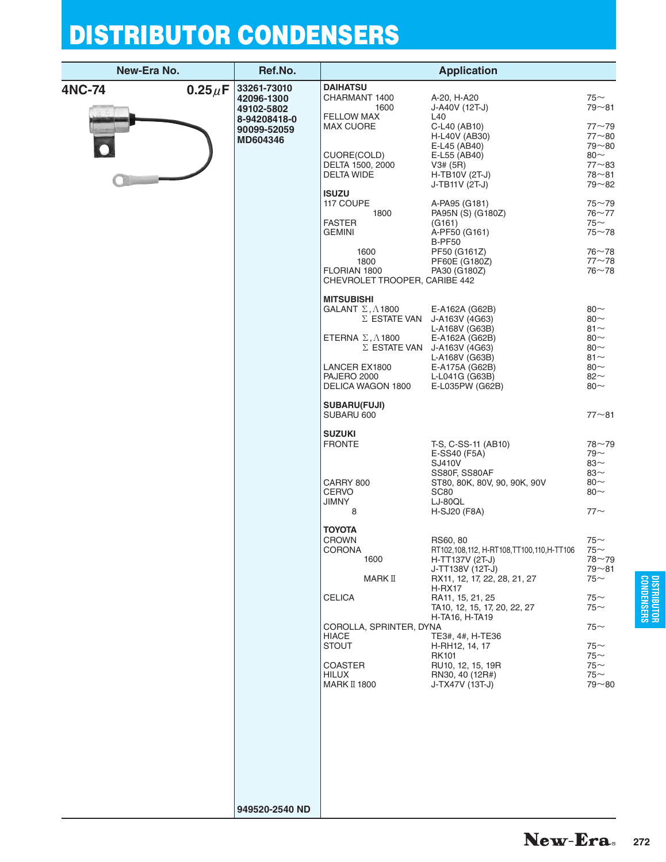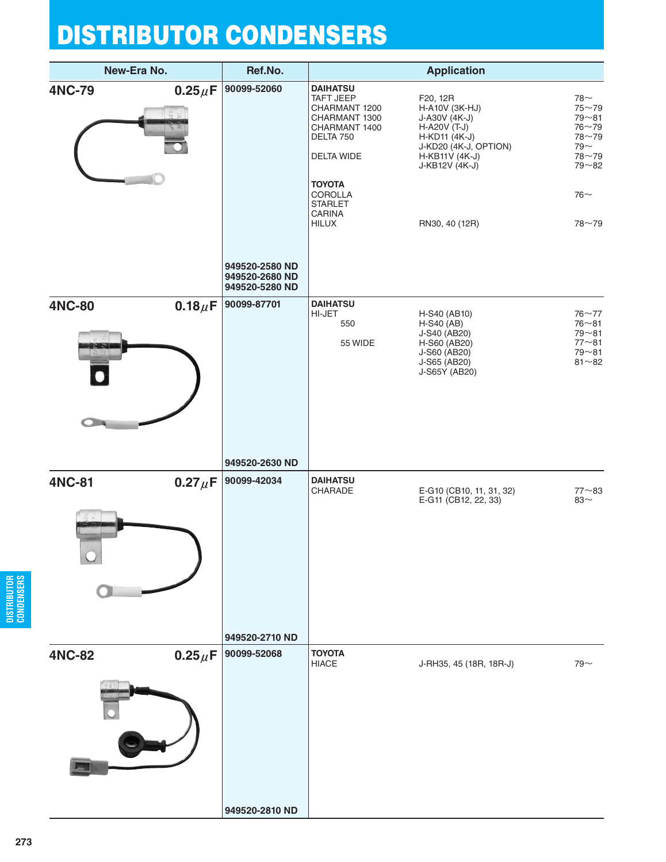| New-Era No.   |              | Ref.No.                                                           |                                                                                                                                                                                           | <b>Application</b>                                                                                                                                                |                                                                                                                     |
|---------------|--------------|-------------------------------------------------------------------|-------------------------------------------------------------------------------------------------------------------------------------------------------------------------------------------|-------------------------------------------------------------------------------------------------------------------------------------------------------------------|---------------------------------------------------------------------------------------------------------------------|
| <b>4NC-79</b> | $0.25 \mu F$ | 90099-52060<br>949520-2580 ND                                     | <b>DAIHATSU</b><br>TAFT JEEP<br>CHARMANT 1200<br>CHARMANT 1300<br>CHARMANT 1400<br>DELTA 750<br>DELTA WIDE<br><b>TOYOTA</b><br>COROLLA<br><b>STARLET</b><br><b>CARINA</b><br><b>HILUX</b> | F20, 12R<br>H-A10V (3K-HJ)<br>J-A30V (4K-J)<br>H-A20V $(T-J)$<br>$H-KD11 (4K-J)$<br>J-KD20 (4K-J, OPTION)<br>$H-KB11V (4K-J)$<br>J-KB12V (4K-J)<br>RN30, 40 (12R) | $78-$<br>$75 - 79$<br>$79 - 81$<br>$76 - 79$<br>$78 - 79$<br>79 $\sim$<br>78~79<br>$79 - 82$<br>$76 -$<br>$78 - 79$ |
| <b>4NC-80</b> | $0.18 \mu F$ | 949520-2680 ND<br>949520-5280 ND<br>90099-87701<br>949520-2630 ND | <b>DAIHATSU</b><br>HI-JET<br>550<br>55 WIDE                                                                                                                                               | H-S40 (AB10)<br>$H-S40$ (AB)<br>J-S40 (AB20)<br>H-S60 (AB20)<br>J-S60 (AB20)<br>J-S65 (AB20)<br>J-S65Y (AB20)                                                     | $76 - 77$<br>$76 - 81$<br>$79 - 81$<br>$77 - 81$<br>$79 - 81$<br>$81 - 82$                                          |
| <b>4NC-81</b> | $0.27 \mu F$ | 90099-42034<br>949520-2710 ND                                     | <b>DAIHATSU</b><br>CHARADE                                                                                                                                                                | E-G10 (CB10, 11, 31, 32)<br>E-G11 (CB12, 22, 33)                                                                                                                  | $77 - 83$<br>83 $\sim$                                                                                              |
| <b>4NC-82</b> | $0.25 \mu F$ | 90099-52068<br>949520-2810 ND                                     | <b>TOYOTA</b><br><b>HIACE</b>                                                                                                                                                             | J-RH35, 45 (18R, 18R-J)                                                                                                                                           | $79 -$                                                                                                              |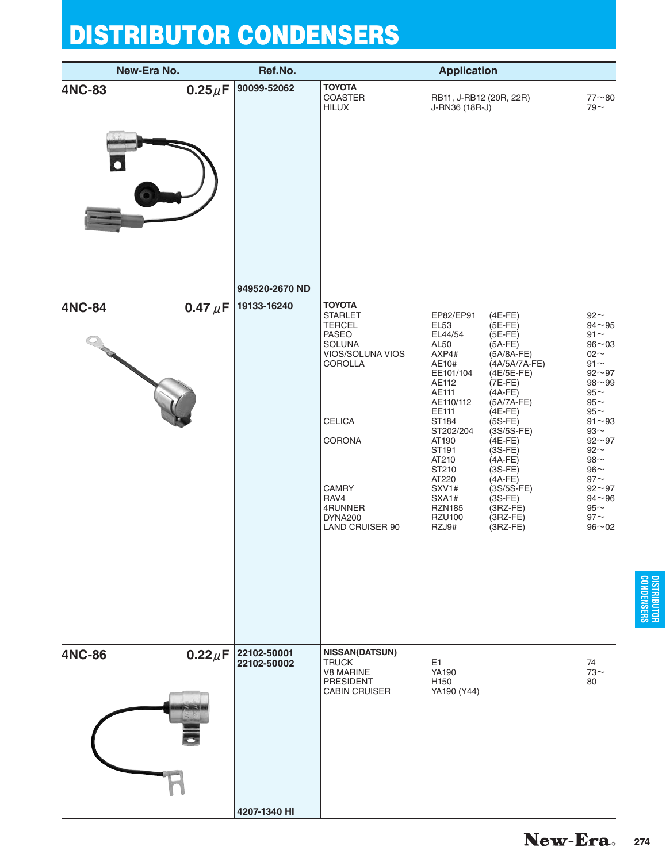| New-Era No.   |              | Ref.No.                    |                                                                                                                                                                                                       | <b>Application</b>                                                                                                                                                                                                                                 |                                                                                                                                                                                                                                                                                                                             |                                                                                                                                                                                                                                                                                               |
|---------------|--------------|----------------------------|-------------------------------------------------------------------------------------------------------------------------------------------------------------------------------------------------------|----------------------------------------------------------------------------------------------------------------------------------------------------------------------------------------------------------------------------------------------------|-----------------------------------------------------------------------------------------------------------------------------------------------------------------------------------------------------------------------------------------------------------------------------------------------------------------------------|-----------------------------------------------------------------------------------------------------------------------------------------------------------------------------------------------------------------------------------------------------------------------------------------------|
| <b>4NC-83</b> | $0.25\mu$ F  | 90099-52062                | <b>TOYOTA</b><br>COASTER<br><b>HILUX</b>                                                                                                                                                              | RB11, J-RB12 (20R, 22R)<br>J-RN36 (18R-J)                                                                                                                                                                                                          |                                                                                                                                                                                                                                                                                                                             | $77 - 80$<br>$79 -$                                                                                                                                                                                                                                                                           |
|               |              | 949520-2670 ND             |                                                                                                                                                                                                       |                                                                                                                                                                                                                                                    |                                                                                                                                                                                                                                                                                                                             |                                                                                                                                                                                                                                                                                               |
| <b>4NC-84</b> | 0.47 $\mu$ F | 19133-16240                | <b>TOYOTA</b><br><b>STARLET</b><br><b>TERCEL</b><br><b>PASEO</b><br>SOLUNA<br>VIOS/SOLUNA VIOS<br>COROLLA<br><b>CELICA</b><br>CORONA<br><b>CAMRY</b><br>RAV4<br>4RUNNER<br>DYNA200<br>LAND CRUISER 90 | EP82/EP91<br><b>EL53</b><br>EL44/54<br>AL50<br>AXP4#<br>AE10#<br>EE101/104<br>AE112<br>AE111<br>AE110/112<br>EE111<br>ST184<br>ST202/204<br>AT190<br>ST191<br>AT210<br>ST210<br>AT220<br>SXV1#<br>SXA1#<br><b>RZN185</b><br><b>RZU100</b><br>RZJ9# | $(4E-FE)$<br>$(5E-FE)$<br>$(5E-FE)$<br>$(5A-FE)$<br>$(5A/8A-FE)$<br>(4A/5A/7A-FE)<br>(4E/5E-FE)<br>$(7E-FE)$<br>$(4A-FE)$<br>$(5A/7A-FE)$<br>$(4E-FE)$<br>$(5S-FE)$<br>$(3S/5S-FE)$<br>$(4E-FE)$<br>$(3S-FE)$<br>$(4A-FE)$<br>$(3S-FE)$<br>$(4A-FE)$<br>$(3S/5S-FE)$<br>$(3S-FE)$<br>$(3RZ-FE)$<br>$(3RZ-FE)$<br>$(3RZ-FE)$ | $92\sim$<br>$94 - 95$<br>$91\sim$<br>$96 - 03$<br>$02 -$<br>$91\sim$<br>$92 - 97$<br>$98 - 99$<br>$95\sim$<br>$95\sim$<br>$95\sim$<br>$91 - 93$<br>$93\sim$<br>$92 - 97$<br>$92\sim$<br>$98\mathord{\sim}$<br>$96\sim$<br>$97$ ~<br>$92 - 97$<br>$94 - 96$<br>$95\sim$<br>$97$ ~<br>$96 - 02$ |
| <b>4NC-86</b> | $0.22 \mu F$ | 22102-50001<br>22102-50002 | <b>NISSAN(DATSUN)</b><br><b>TRUCK</b><br><b>V8 MARINE</b><br>PRESIDENT<br><b>CABIN CRUISER</b>                                                                                                        | E1<br>YA190<br>H150<br>YA190 (Y44)                                                                                                                                                                                                                 |                                                                                                                                                                                                                                                                                                                             | 74<br>$73-$<br>80                                                                                                                                                                                                                                                                             |
|               |              | 4207-1340 HI               |                                                                                                                                                                                                       |                                                                                                                                                                                                                                                    |                                                                                                                                                                                                                                                                                                                             |                                                                                                                                                                                                                                                                                               |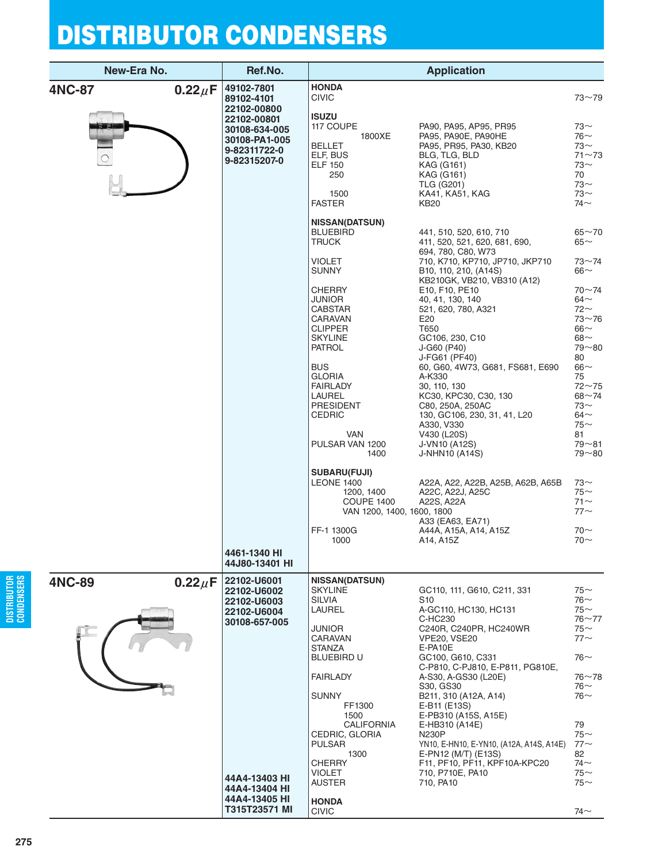|               | New-Era No.  | Ref.No.                                                                                                            |                                                                                                                                                                                                                                                                                                                                                                                                       | <b>Application</b>                                                                                                                                                                                                                                                                                                                                                                                                                                                                                                                                                                                                                             |                                                                                                                                                                                                                                                                                                           |
|---------------|--------------|--------------------------------------------------------------------------------------------------------------------|-------------------------------------------------------------------------------------------------------------------------------------------------------------------------------------------------------------------------------------------------------------------------------------------------------------------------------------------------------------------------------------------------------|------------------------------------------------------------------------------------------------------------------------------------------------------------------------------------------------------------------------------------------------------------------------------------------------------------------------------------------------------------------------------------------------------------------------------------------------------------------------------------------------------------------------------------------------------------------------------------------------------------------------------------------------|-----------------------------------------------------------------------------------------------------------------------------------------------------------------------------------------------------------------------------------------------------------------------------------------------------------|
| <b>4NC-87</b> | $0.22 \mu F$ | 49102-7801<br>89102-4101<br>22102-00800                                                                            | <b>HONDA</b><br><b>CIVIC</b>                                                                                                                                                                                                                                                                                                                                                                          |                                                                                                                                                                                                                                                                                                                                                                                                                                                                                                                                                                                                                                                | $73 - 79$                                                                                                                                                                                                                                                                                                 |
|               |              | 22102-00801<br>30108-634-005<br>30108-PA1-005<br>9-82311722-0<br>9-82315207-0                                      | ISUZU<br>117 COUPE<br>1800XE<br><b>BELLET</b><br>ELF, BUS<br>ELF 150<br>250<br>1500<br><b>FASTER</b>                                                                                                                                                                                                                                                                                                  | PA90, PA95, AP95, PR95<br>PA95, PA90E, PA90HE<br>PA95, PR95, PA30, KB20<br>BLG, TLG, BLD<br>KAG (G161)<br>KAG (G161)<br><b>TLG (G201)</b><br>KA41, KA51, KAG<br>KB20                                                                                                                                                                                                                                                                                                                                                                                                                                                                           | $73~\sim$<br>$76$ ~<br>$73$ ~<br>$71 - 73$<br>73∼<br>70<br>$73-$<br>$73-$<br>74 $\sim$                                                                                                                                                                                                                    |
|               |              |                                                                                                                    | <b>NISSAN(DATSUN)</b><br><b>BLUEBIRD</b><br>TRUCK<br>VIOLET<br>SUNNY<br>CHERRY<br>JUNIOR<br>CABSTAR<br>CARAVAN<br><b>CLIPPER</b><br>SKYLINE<br>PATROL<br><b>BUS</b><br>GLORIA<br><b>FAIRLADY</b><br><b>LAUREL</b><br>PRESIDENT<br>CEDRIC<br>VAN<br>PULSAR VAN 1200<br>1400<br><b>SUBARU(FUJI)</b><br><b>LEONE 1400</b><br>1200, 1400<br><b>COUPE 1400</b><br>VAN 1200, 1400, 1600, 1800<br>FF-1 1300G | 441, 510, 520, 610, 710<br>411, 520, 521, 620, 681, 690,<br>694, 780, C80, W73<br>710, K710, KP710, JP710, JKP710<br>B10, 110, 210, (A14S)<br>KB210GK, VB210, VB310 (A12)<br>E10, F10, PE10<br>40, 41, 130, 140<br>521, 620, 780, A321<br>E20<br>T650<br>GC106, 230, C10<br>J-G60 (P40)<br>J-FG61 (PF40)<br>60, G60, 4W73, G681, FS681, E690<br>A-K330<br>30, 110, 130<br>KC30, KPC30, C30, 130<br>C80, 250A, 250AC<br>130, GC106, 230, 31, 41, L20<br>A330, V330<br>V430 (L20S)<br>J-VN10 (A12S)<br><b>J-NHN10 (A14S)</b><br>A22A, A22, A22B, A25B, A62B, A65B<br>A22C, A22J, A25C<br>A22S, A22A<br>A33 (EA63, EA71)<br>A44A, A15A, A14, A15Z | $65 - 70$<br>65 $\sim$<br>$73 - 74$<br>66 $\sim$<br>$70 - 74$<br>64 $\sim$<br>$72$ ~<br>$73 - 76$<br>$66\sim$<br>$68\sim$<br>$79 - 80$<br>80<br>66 $\sim$<br>75<br>$72 - 75$<br>$68 - 74$<br>$73-$<br>64 $\sim$<br>$75$ ~<br>81<br>$79 - 81$<br>$79 - 80$<br>$73-$<br>$75$ ~<br>$71$ ~<br>$77$ ~<br>$70-$ |
|               |              | 4461-1340 HI<br>44J80-13401 HI                                                                                     | 1000                                                                                                                                                                                                                                                                                                                                                                                                  | A14, A15Z                                                                                                                                                                                                                                                                                                                                                                                                                                                                                                                                                                                                                                      | $70-$                                                                                                                                                                                                                                                                                                     |
| <b>4NC-89</b> | $0.22 \mu F$ | 22102-U6001<br>22102-U6002<br><b>22102-U6003</b><br>22102-U6004<br>30108-657-005<br>44A4-13403 HI<br>44A4-13404 HI | <b>NISSAN(DATSUN)</b><br>SKYLINE<br>SILVIA<br>LAUREL<br>JUNIOR<br>CARAVAN<br>STANZA<br>BLUEBIRD U<br>FAIRLADY<br><b>SUNNY</b><br>FF1300<br>1500<br><b>CALIFORNIA</b><br>CEDRIC, GLORIA<br><b>PULSAR</b><br>1300<br>CHERRY<br>VIOLET<br>AUSTER                                                                                                                                                         | GC110, 111, G610, C211, 331<br>S <sub>10</sub><br>A-GC110, HC130, HC131<br>C-HC230<br>C240R, C240PR, HC240WR<br><b>VPE20, VSE20</b><br>E-PA10E<br>GC100, G610, C331<br>C-P810, C-PJ810, E-P811, PG810E,<br>A-S30, A-GS30 (L20E)<br>S30, GS30<br>B211, 310 (A12A, A14)<br>E-B11 (E13S)<br>E-PB310 (A15S, A15E)<br>E-HB310 (A14E)<br><b>N230P</b><br>YN10, E-HN10, E-YN10, (A12A, A14S, A14E)<br>E-PN12 (M/T) (E13S)<br>F11, PF10, PF11, KPF10A-KPC20<br>710, P710E, PA10<br>710, PA10                                                                                                                                                           | $75-$<br>76 $\sim$<br>75∼<br>$76 - 77$<br>$75$ ~<br>$77$ $\sim$<br>$76$ ~<br>$76 - 78$<br>76∼<br>76∼<br>79<br>$75$ ~<br>$77$ ~<br>82<br>$74$ ~<br>$75$ ~<br>$75$ ~                                                                                                                                        |
|               |              | 44A4-13405 HI<br>T315T23571 MI                                                                                     | <b>HONDA</b><br><b>CIVIC</b>                                                                                                                                                                                                                                                                                                                                                                          |                                                                                                                                                                                                                                                                                                                                                                                                                                                                                                                                                                                                                                                | 74 $\sim$                                                                                                                                                                                                                                                                                                 |

**DISTRIBUTOR CONDENSERS**

DISTRIBUTOR<br>Condensers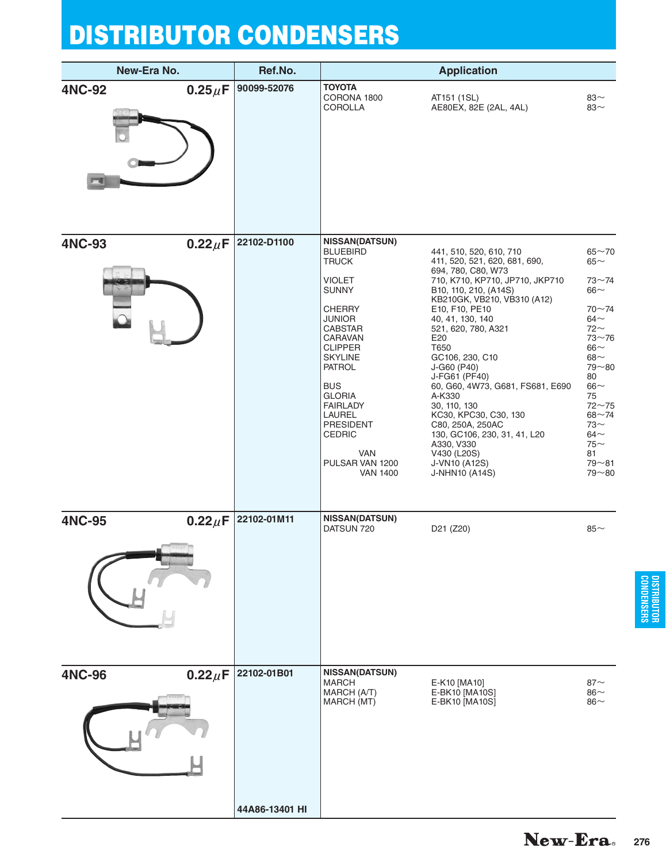| New-Era No.   |              | Ref.No.        |                                                                                                                                                                                                                                                                                                                                                                    | <b>Application</b>                                                                                                                                                                                                                                                                                                                                                                                                                                                                                                  |                                                                                                                                                                                                                                                  |
|---------------|--------------|----------------|--------------------------------------------------------------------------------------------------------------------------------------------------------------------------------------------------------------------------------------------------------------------------------------------------------------------------------------------------------------------|---------------------------------------------------------------------------------------------------------------------------------------------------------------------------------------------------------------------------------------------------------------------------------------------------------------------------------------------------------------------------------------------------------------------------------------------------------------------------------------------------------------------|--------------------------------------------------------------------------------------------------------------------------------------------------------------------------------------------------------------------------------------------------|
| <b>4NC-92</b> | $0.25\mu$ F  | 90099-52076    | <b>TOYOTA</b><br>CORONA 1800<br><b>COROLLA</b>                                                                                                                                                                                                                                                                                                                     | AT151 (1SL)<br>AE80EX, 82E (2AL, 4AL)                                                                                                                                                                                                                                                                                                                                                                                                                                                                               | $83-$<br>83~                                                                                                                                                                                                                                     |
| <b>4NC-93</b> | $0.22 \mu F$ | 22102-D1100    | <b>NISSAN(DATSUN)</b><br><b>BLUEBIRD</b><br><b>TRUCK</b><br><b>VIOLET</b><br><b>SUNNY</b><br><b>CHERRY</b><br><b>JUNIOR</b><br><b>CABSTAR</b><br><b>CARAVAN</b><br><b>CLIPPER</b><br><b>SKYLINE</b><br><b>PATROL</b><br><b>BUS</b><br><b>GLORIA</b><br><b>FAIRLADY</b><br>LAUREL<br><b>PRESIDENT</b><br><b>CEDRIC</b><br>VAN<br>PULSAR VAN 1200<br><b>VAN 1400</b> | 441, 510, 520, 610, 710<br>411, 520, 521, 620, 681, 690,<br>694, 780, C80, W73<br>710, K710, KP710, JP710, JKP710<br>B10, 110, 210, (A14S)<br>KB210GK, VB210, VB310 (A12)<br>E10, F10, PE10<br>40, 41, 130, 140<br>521, 620, 780, A321<br>E20<br>T650<br>GC106, 230, C10<br>J-G60 (P40)<br>J-FG61 (PF40)<br>60, G60, 4W73, G681, FS681, E690<br>A-K330<br>30, 110, 130<br>KC30, KPC30, C30, 130<br>C80, 250A, 250AC<br>130, GC106, 230, 31, 41, L20<br>A330, V330<br>V430 (L20S)<br>J-VN10 (A12S)<br>J-NHN10 (A14S) | $65 - 70$<br>65 $\sim$<br>73~74<br>66 $\sim$<br>$70 - 74$<br>$64-$<br>$72$ ~<br>$73 - 76$<br>$66\sim$<br>68 $\sim$<br>$79 - 80$<br>80<br>$66\sim$<br>75<br>$72 - 75$<br>$68 - 74$<br>$73-$<br>$64\sim$<br>$75$ ~<br>81<br>$79 - 81$<br>$79 - 80$ |
| <b>4NC-95</b> | $0.22 \mu F$ | 22102-01M11    | <b>NISSAN(DATSUN)</b><br>DATSUN 720                                                                                                                                                                                                                                                                                                                                | D21 (Z20)                                                                                                                                                                                                                                                                                                                                                                                                                                                                                                           | $85\sim$                                                                                                                                                                                                                                         |
| <b>4NC-96</b> | $0.22 \mu F$ | 22102-01B01    | <b>NISSAN(DATSUN)</b><br><b>MARCH</b><br>MARCH (A/T)<br>MARCH (MT)                                                                                                                                                                                                                                                                                                 | E-K10 [MA10]<br>E-BK10 [MA10S]<br>E-BK10 [MA10S]                                                                                                                                                                                                                                                                                                                                                                                                                                                                    | 87<<br>$86\sim$<br>$86\sim$                                                                                                                                                                                                                      |
|               |              | 44A86-13401 HI |                                                                                                                                                                                                                                                                                                                                                                    |                                                                                                                                                                                                                                                                                                                                                                                                                                                                                                                     |                                                                                                                                                                                                                                                  |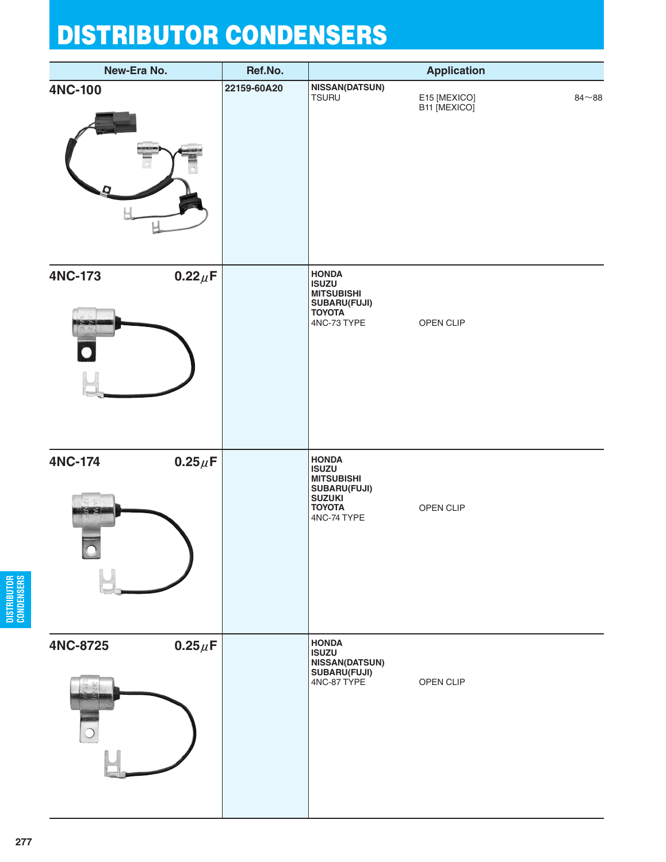